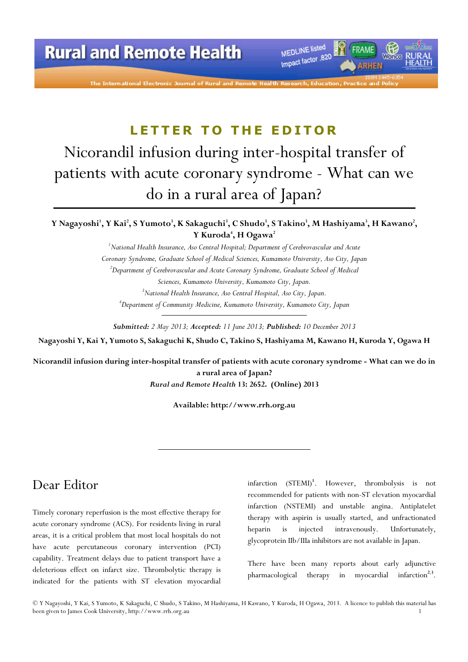# LETTER TO THE EDITOR

# Nicorandil infusion during inter-hospital transfer of patients with acute coronary syndrome - What can we do in a rural area of Japan?

Y Nagayoshi', Y Kai', S Yumoto', K Sakaguchi', C Shudo', S Takino', M Hashiyama', H Kawano', Y Kuroda<sup>4</sup>, H Ogawa<sup>2</sup>

> $1$ National Health Insurance, Aso Central Hospital; Department of Cerebrovascular and Acute Coronary Syndrome, Graduate School of Medical Sciences, Kumamoto University, Aso City, Japan <sup>2</sup>Department of Cerebrovascular and Acute Coronary Syndrome, Graduate School of Medical Sciences, Kumamoto University, Kumamoto City, Japan. <sup>3</sup>National Health Insurance, Aso Central Hospital, Aso City, Japan. <sup>4</sup>Department of Community Medicine, Kumamoto University, Kumamoto City, Japan

Submitted: 2 May 2013; Accepted: 11 June 2013; Published: 10 December 2013

Nagayoshi Y, Kai Y, Yumoto S, Sakaguchi K, Shudo C, Takino S, Hashiyama M, Kawano H, Kuroda Y, Ogawa H

Nicorandil infusion during inter-hospital transfer of patients with acute coronary syndrome - What can we do in a rural area of Japan?

Rural and Remote Health 13: 2652. (Online) 2013

Available: http://www.rrh.org.au

### Dear Editor

Timely coronary reperfusion is the most effective therapy for acute coronary syndrome (ACS). For residents living in rural areas, it is a critical problem that most local hospitals do not have acute percutaneous coronary intervention (PCI) capability. Treatment delays due to patient transport have a deleterious effect on infarct size. Thrombolytic therapy is indicated for the patients with ST elevation myocardial

infarction (STEMI)<sup>1</sup>. However, thrombolysis is not recommended for patients with non-ST elevation myocardial infarction (NSTEMI) and unstable angina. Antiplatelet therapy with aspirin is usually started, and unfractionated heparin is injected intravenously. Unfortunately, glycoprotein IIb/IIIa inhibitors are not available in Japan.

There have been many reports about early adjunctive pharmacological therapy in myocardial infarction<sup>2,3</sup>.

© Y Nagayoshi, Y Kai, S Yumoto, K Sakaguchi, C Shudo, S Takino, M Hashiyama, H Kawano, Y Kuroda, H Ogawa, 2013. A licence to publish this material has been given to James Cook University, http://www.rrh.org.au 1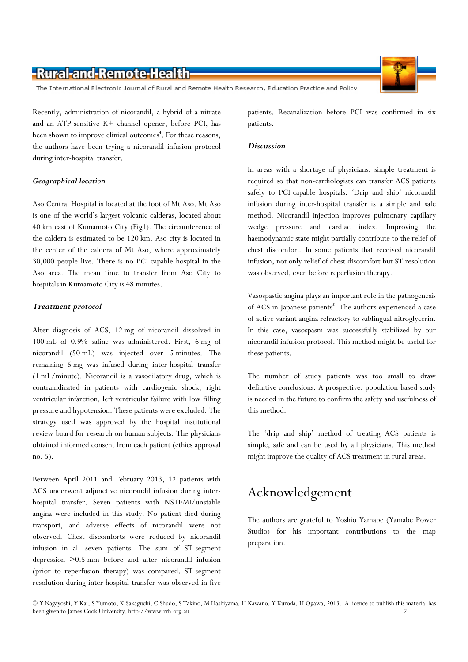### -Rural-and-Remote-Health

The International Electronic Journal of Rural and Remote Health Research, Education Practice and Policy

Recently, administration of nicorandil, a hybrid of a nitrate and an ATP-sensitive K+ channel opener, before PCI, has been shown to improve clinical outcomes<sup>4</sup>. For these reasons, the authors have been trying a nicorandil infusion protocol during inter-hospital transfer.

#### Geographical location

Aso Central Hospital is located at the foot of Mt Aso. Mt Aso is one of the world's largest volcanic calderas, located about 40 km east of Kumamoto City (Fig1). The circumference of the caldera is estimated to be 120 km. Aso city is located in the center of the caldera of Mt Aso, where approximately 30,000 people live. There is no PCI-capable hospital in the Aso area. The mean time to transfer from Aso City to hospitals in Kumamoto City is 48 minutes.

#### Treatment protocol

After diagnosis of ACS, 12 mg of nicorandil dissolved in 100 mL of 0.9% saline was administered. First, 6 mg of nicorandil (50 mL) was injected over 5 minutes. The remaining 6 mg was infused during inter-hospital transfer (1 mL/minute). Nicorandil is a vasodilatory drug, which is contraindicated in patients with cardiogenic shock, right ventricular infarction, left ventricular failure with low filling pressure and hypotension. These patients were excluded. The strategy used was approved by the hospital institutional review board for research on human subjects. The physicians obtained informed consent from each patient (ethics approval no. 5).

Between April 2011 and February 2013, 12 patients with ACS underwent adjunctive nicorandil infusion during interhospital transfer. Seven patients with NSTEMI/unstable angina were included in this study. No patient died during transport, and adverse effects of nicorandil were not observed. Chest discomforts were reduced by nicorandil infusion in all seven patients. The sum of ST-segment depression >0.5 mm before and after nicorandil infusion (prior to reperfusion therapy) was compared. ST-segment resolution during inter-hospital transfer was observed in five

patients. Recanalization before PCI was confirmed in six patients.

#### **Discussion**

In areas with a shortage of physicians, simple treatment is required so that non-cardiologists can transfer ACS patients safely to PCI-capable hospitals. 'Drip and ship' nicorandil infusion during inter-hospital transfer is a simple and safe method. Nicorandil injection improves pulmonary capillary wedge pressure and cardiac index. Improving the haemodynamic state might partially contribute to the relief of chest discomfort. In some patients that received nicorandil infusion, not only relief of chest discomfort but ST resolution was observed, even before reperfusion therapy.

Vasospastic angina plays an important role in the pathogenesis of ACS in Japanese patients<sup>5</sup>. The authors experienced a case of active variant angina refractory to sublingual nitroglycerin. In this case, vasospasm was successfully stabilized by our nicorandil infusion protocol. This method might be useful for these patients.

The number of study patients was too small to draw definitive conclusions. A prospective, population-based study is needed in the future to confirm the safety and usefulness of this method.

The 'drip and ship' method of treating ACS patients is simple, safe and can be used by all physicians. This method might improve the quality of ACS treatment in rural areas.

## Acknowledgement

The authors are grateful to Yoshio Yamabe (Yamabe Power Studio) for his important contributions to the map preparation.

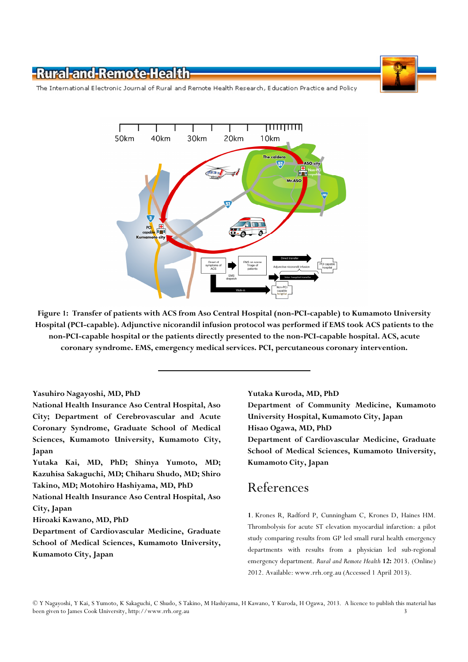-Rural-and-Remote-Health



The International Electronic Journal of Rural and Remote Health Research, Education Practice and Policy



Figure 1: Transfer of patients with ACS from Aso Central Hospital (non-PCI-capable) to Kumamoto University Hospital (PCI-capable). Adjunctive nicorandil infusion protocol was performed if EMS took ACS patients to the non-PCI-capable hospital or the patients directly presented to the non-PCI-capable hospital. ACS, acute coronary syndrome. EMS, emergency medical services. PCI, percutaneous coronary intervention.

#### Yasuhiro Nagayoshi, MD, PhD

National Health Insurance Aso Central Hospital, Aso City; Department of Cerebrovascular and Acute Coronary Syndrome, Graduate School of Medical Sciences, Kumamoto University, Kumamoto City, Japan

Yutaka Kai, MD, PhD; Shinya Yumoto, MD; Kazuhisa Sakaguchi, MD; Chiharu Shudo, MD; Shiro Takino, MD; Motohiro Hashiyama, MD, PhD

National Health Insurance Aso Central Hospital, Aso City, Japan

Hiroaki Kawano, MD, PhD

Department of Cardiovascular Medicine, Graduate School of Medical Sciences, Kumamoto University, Kumamoto City, Japan

Yutaka Kuroda, MD, PhD

Department of Community Medicine, Kumamoto University Hospital, Kumamoto City, Japan Hisao Ogawa, MD, PhD Department of Cardiovascular Medicine, Graduate School of Medical Sciences, Kumamoto University,

Kumamoto City, Japan

### References

1. Krones R, Radford P, Cunningham C, Krones D, Haines HM. Thrombolysis for acute ST elevation myocardial infarction: a pilot study comparing results from GP led small rural health emergency departments with results from a physician led sub-regional emergency department. Rural and Remote Health 12: 2013. (Online) 2012. Available: www.rrh.org.au (Accessed 1 April 2013).